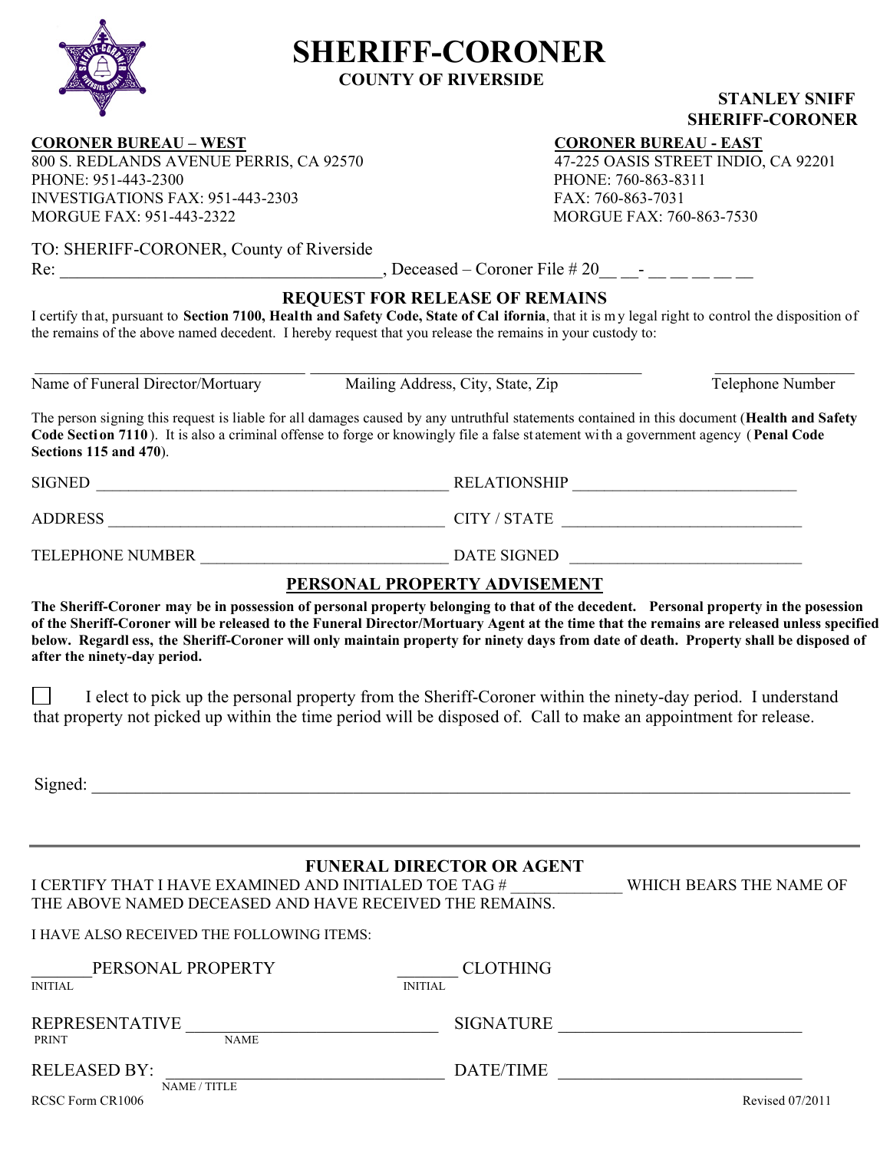

# **SHERIFF-CORONER**

**COUNTY OF RIVERSIDE** 

### **STANLEY SNIFF SHERIFF-CORONER**

**CORONER BUREAU – WEST**<br>
800 S. REDLANDS AVENUE PERRIS, CA 92570<br>
47-225 OASIS STREET INDIO, CA 92201 800 S. REDLANDS AVENUE PERRIS, CA 92570 PHONE: 951-443-2300 PHONE: 760-863-8311 INVESTIGATIONS FAX: 951-443-2303 FAX: 760-863-7031 MORGUE FAX: 951-443-2322 MORGUE FAX: 760-863-7530

TO: SHERIFF-CORONER, County of Riverside

Re: Superscript  $\text{Rec}$  , Deceased – Coroner File # 20

## **REQUEST FOR RELEASE OF REMAINS**

I certify that, pursuant to **Section 7100, Health and Safety Code, State of Cal ifornia**, that it is m y legal right to control the disposition of the remains of the above named decedent. I hereby request that you release the remains in your custody to:

 $\_$  ,  $\_$  ,  $\_$  ,  $\_$  ,  $\_$  ,  $\_$  ,  $\_$  ,  $\_$  ,  $\_$  ,  $\_$  ,  $\_$  ,  $\_$  ,  $\_$  ,  $\_$  ,  $\_$  ,  $\_$  ,  $\_$  ,  $\_$  ,  $\_$  ,  $\_$  ,  $\_$  ,  $\_$  ,  $\_$  ,  $\_$  ,  $\_$  ,  $\_$  ,  $\_$  ,  $\_$  ,  $\_$  ,  $\_$  ,  $\_$  ,  $\_$  ,  $\_$  ,  $\_$  ,  $\_$  ,  $\_$  ,  $\_$  ,

Name of Funeral Director/Mortuary Mailing Address, City, State, Zip Telephone Number

The person signing this request is liable for all damages caused by any untruthful statements contained in this document (**Health and Safety Code Secti on 7110** ). It is also a criminal offense to forge or knowingly file a false st atement wi th a government agency (**Penal Code Sections 115 and 470**).

| SIGNED         | <b>RELATIONSHIP</b> |  |  |
|----------------|---------------------|--|--|
| <b>ADDRESS</b> | <b>CITY / STATE</b> |  |  |

TELEPHONE NUMBER \_\_\_\_\_\_\_\_\_\_\_\_\_\_\_\_\_\_\_\_\_\_\_\_\_\_\_\_\_\_\_ DATE SIGNED \_\_\_\_\_\_\_\_\_\_\_\_\_\_\_\_\_\_\_\_\_\_\_\_\_\_\_\_\_

### **PERSONAL PROPERTY ADVISEMENT**

**The Sheriff-Coroner may be in possession of personal property belonging to that of the decedent. Personal property in the posession of the Sheriff-Coroner will be released to the Funeral Director/Mortuary Agent at the time that the remains are released unless specified below. Regardl ess, the Sheriff-Coroner will only maintain property for ninety days from date of death. Property shall be disposed of after the ninety-day period.** 

 $\mathcal{L}_{\mathcal{A}}$ I elect to pick up the personal property from the Sheriff-Coroner within the ninety-day period. I understand that property not picked up within the time period will be disposed of. Call to make an appointment for release.

Signed:

### **FUNERAL DIRECTOR OR AGENT**

| I CERTIFY THAT I HAVE EXAMINED AND INITIALED TOE TAG #  | WHICH BEARS THE NAME OF |
|---------------------------------------------------------|-------------------------|
| THE ABOVE NAMED DECEASED AND HAVE RECEIVED THE REMAINS. |                         |

#### I HAVE ALSO RECEIVED THE FOLLOWING ITEMS:

| PERSONAL PROPERTY<br><b>INITIAL</b>                  | <b>CLOTHING</b><br><b>INITIAL</b> |                 |
|------------------------------------------------------|-----------------------------------|-----------------|
| <b>REPRESENTATIVE</b><br><b>NAME</b><br><b>PRINT</b> | <b>SIGNATURE</b>                  |                 |
| <b>RELEASED BY:</b>                                  | DATE/TIME                         |                 |
| NAME / TITLE<br>RCSC Form CR1006                     |                                   | Revised 07/2011 |